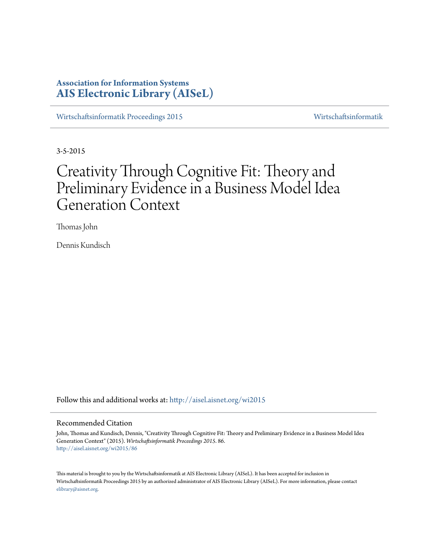# **Association for Information Systems [AIS Electronic Library \(AISeL\)](http://aisel.aisnet.org?utm_source=aisel.aisnet.org%2Fwi2015%2F86&utm_medium=PDF&utm_campaign=PDFCoverPages)**

[Wirtschaftsinformatik Proceedings 2015](http://aisel.aisnet.org/wi2015?utm_source=aisel.aisnet.org%2Fwi2015%2F86&utm_medium=PDF&utm_campaign=PDFCoverPages) [Wirtschaftsinformatik](http://aisel.aisnet.org/wi?utm_source=aisel.aisnet.org%2Fwi2015%2F86&utm_medium=PDF&utm_campaign=PDFCoverPages)

3-5-2015

# Creativity Through Cognitive Fit: Theory and Preliminary Evidence in a Business Model Idea Generation Context

Thomas John

Dennis Kundisch

Follow this and additional works at: [http://aisel.aisnet.org/wi2015](http://aisel.aisnet.org/wi2015?utm_source=aisel.aisnet.org%2Fwi2015%2F86&utm_medium=PDF&utm_campaign=PDFCoverPages)

#### Recommended Citation

John, Thomas and Kundisch, Dennis, "Creativity Through Cognitive Fit: Theory and Preliminary Evidence in a Business Model Idea Generation Context" (2015). *Wirtschaftsinformatik Proceedings 2015*. 86. [http://aisel.aisnet.org/wi2015/86](http://aisel.aisnet.org/wi2015/86?utm_source=aisel.aisnet.org%2Fwi2015%2F86&utm_medium=PDF&utm_campaign=PDFCoverPages)

This material is brought to you by the Wirtschaftsinformatik at AIS Electronic Library (AISeL). It has been accepted for inclusion in Wirtschaftsinformatik Proceedings 2015 by an authorized administrator of AIS Electronic Library (AISeL). For more information, please contact [elibrary@aisnet.org.](mailto:elibrary@aisnet.org%3E)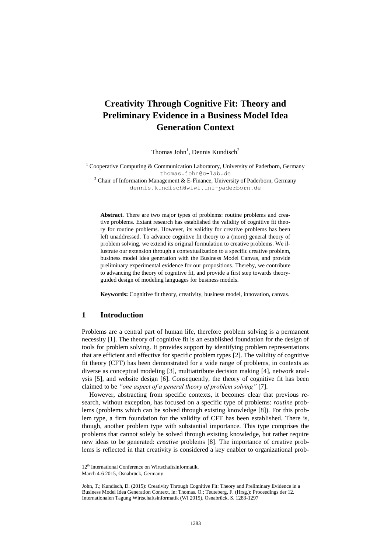# **Creativity Through Cognitive Fit: Theory and Preliminary Evidence in a Business Model Idea Generation Context**

Thomas John<sup>1</sup>, Dennis Kundisch<sup>2</sup>

<sup>1</sup> Cooperative Computing & Communication Laboratory, University of Paderborn, Germany thomas.john@c-lab.de

<sup>2</sup> Chair of Information Management & E-Finance, University of Paderborn, Germany dennis.kundisch@wiwi.uni-paderborn.de

**Abstract.** There are two major types of problems: routine problems and creative problems. Extant research has established the validity of cognitive fit theory for routine problems. However, its validity for creative problems has been left unaddressed. To advance cognitive fit theory to a (more) general theory of problem solving, we extend its original formulation to creative problems. We illustrate our extension through a contextualization to a specific creative problem, business model idea generation with the Business Model Canvas, and provide preliminary experimental evidence for our propositions. Thereby, we contribute to advancing the theory of cognitive fit, and provide a first step towards theoryguided design of modeling languages for business models.

**Keywords:** Cognitive fit theory, creativity, business model, innovation, canvas.

### **1 Introduction**

Problems are a central part of human life, therefore problem solving is a permanent necessity [1]. The theory of cognitive fit is an established foundation for the design of tools for problem solving. It provides support by identifying problem representations that are efficient and effective for specific problem types [2]. The validity of cognitive fit theory (CFT) has been demonstrated for a wide range of problems, in contexts as diverse as conceptual modeling [3], multiattribute decision making [4], network analysis [5], and website design [6]. Consequently, the theory of cognitive fit has been claimed to be *"one aspect of a general theory of problem solving"* [7].

However, abstracting from specific contexts, it becomes clear that previous research, without exception, has focused on a specific type of problems: *routine* problems (problems which can be solved through existing knowledge [8]). For this problem type, a firm foundation for the validity of CFT has been established. There is, though, another problem type with substantial importance. This type comprises the problems that cannot solely be solved through existing knowledge, but rather require new ideas to be generated: *creative* problems [8]. The importance of creative problems is reflected in that creativity is considered a key enabler to organizational prob-

<sup>12&</sup>lt;sup>th</sup> International Conference on Wirtschaftsinformatik,

March 4-6 2015, Osnabrück, Germany

John, T.; Kundisch, D. (2015): Creativity Through Cognitive Fit: Theory and Preliminary Evidence in a Business Model Idea Generation Context, in: Thomas. O.; Teuteberg, F. (Hrsg.): Proceedings der 12. Internationalen Tagung Wirtschaftsinformatik (WI 2015), Osnabrück, S. 1283-1297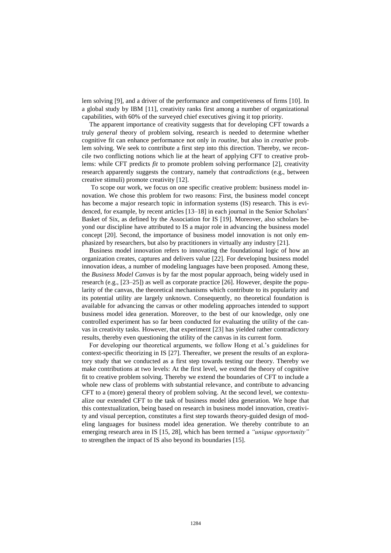lem solving [9], and a driver of the performance and competitiveness of firms [10]. In a global study by IBM [11], creativity ranks first among a number of organizational capabilities, with 60% of the surveyed chief executives giving it top priority.

The apparent importance of creativity suggests that for developing CFT towards a truly *general* theory of problem solving, research is needed to determine whether cognitive fit can enhance performance not only in *routine*, but also in *creative* problem solving. We seek to contribute a first step into this direction. Thereby, we reconcile two conflicting notions which lie at the heart of applying CFT to creative problems: while CFT predicts *fit* to promote problem solving performance [2], creativity research apparently suggests the contrary, namely that *contradictions* (e.g., between creative stimuli) promote creativity [12].

To scope our work, we focus on one specific creative problem: business model innovation. We chose this problem for two reasons: First, the business model concept has become a major research topic in information systems (IS) research. This is evidenced, for example, by recent articles [13–18] in each journal in the Senior Scholars' Basket of Six, as defined by the Association for IS [19]. Moreover, also scholars beyond our discipline have attributed to IS a major role in advancing the business model concept [20]. Second, the importance of business model innovation is not only emphasized by researchers, but also by practitioners in virtually any industry [21].

Business model innovation refers to innovating the foundational logic of how an organization creates, captures and delivers value [22]. For developing business model innovation ideas, a number of modeling languages have been proposed. Among these, the *Business Model Canvas* is by far the most popular approach, being widely used in research (e.g., [23–25]) as well as corporate practice [26]. However, despite the popularity of the canvas, the theoretical mechanisms which contribute to its popularity and its potential utility are largely unknown. Consequently, no theoretical foundation is available for advancing the canvas or other modeling approaches intended to support business model idea generation. Moreover, to the best of our knowledge, only one controlled experiment has so far been conducted for evaluating the utility of the canvas in creativity tasks. However, that experiment [23] has yielded rather contradictory results, thereby even questioning the utility of the canvas in its current form.

For developing our theoretical arguments, we follow Hong et al.'s guidelines for context-specific theorizing in IS [27]. Thereafter, we present the results of an exploratory study that we conducted as a first step towards testing our theory. Thereby we make contributions at two levels: At the first level, we extend the theory of cognitive fit to creative problem solving. Thereby we extend the boundaries of CFT to include a whole new class of problems with substantial relevance, and contribute to advancing CFT to a (more) general theory of problem solving. At the second level, we contextualize our extended CFT to the task of business model idea generation. We hope that this contextualization, being based on research in business model innovation, creativity and visual perception, constitutes a first step towards theory-guided design of modeling languages for business model idea generation. We thereby contribute to an emerging research area in IS [15, 28], which has been termed a *"unique opportunity"* to strengthen the impact of IS also beyond its boundaries [15].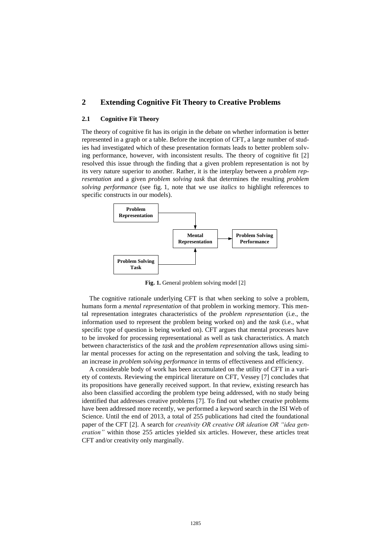## **2 Extending Cognitive Fit Theory to Creative Problems**

#### **2.1 Cognitive Fit Theory**

The theory of cognitive fit has its origin in the debate on whether information is better represented in a graph or a table. Before the inception of CFT, a large number of studies had investigated which of these presentation formats leads to better problem solving performance, however, with inconsistent results. The theory of cognitive fit [2] resolved this issue through the finding that a given problem representation is not by its very nature superior to another. Rather, it is the interplay between a *problem representation* and a given *problem solving task* that determines the resulting *problem solving performance* (see fig. 1, note that we use *italics* to highlight references to specific constructs in our models).



Fig. 1. General problem solving model [2]

The cognitive rationale underlying CFT is that when seeking to solve a problem, humans form a *mental representation* of that problem in working memory. This mental representation integrates characteristics of the *problem representation* (i.e., the information used to represent the problem being worked on) and the *task* (i.e., what specific type of question is being worked on). CFT argues that mental processes have to be invoked for processing representational as well as task characteristics. A match between characteristics of the *task* and the *problem representation* allows using similar mental processes for acting on the representation and solving the task, leading to an increase in *problem solving performance* in terms of effectiveness and efficiency.

A considerable body of work has been accumulated on the utility of CFT in a variety of contexts. Reviewing the empirical literature on CFT, Vessey [7] concludes that its propositions have generally received support. In that review, existing research has also been classified according the problem type being addressed, with no study being identified that addresses creative problems [7]. To find out whether creative problems have been addressed more recently, we performed a keyword search in the ISI Web of Science. Until the end of 2013, a total of 255 publications had cited the foundational paper of the CFT [2]. A search for *creativity OR creative OR ideation OR "idea generation"* within those 255 articles yielded six articles. However, these articles treat CFT and/or creativity only marginally.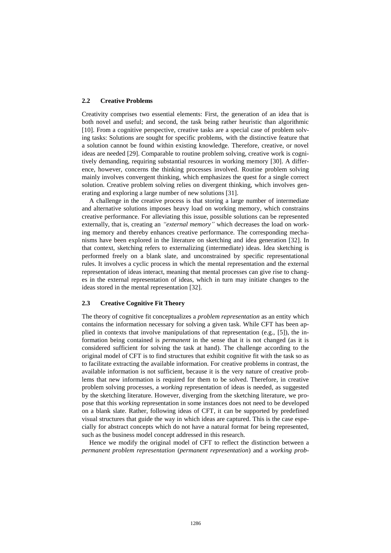#### **2.2 Creative Problems**

Creativity comprises two essential elements: First, the generation of an idea that is both novel and useful; and second, the task being rather heuristic than algorithmic [10]. From a cognitive perspective, creative tasks are a special case of problem solving tasks: Solutions are sought for specific problems, with the distinctive feature that a solution cannot be found within existing knowledge. Therefore, creative, or novel ideas are needed [29]. Comparable to routine problem solving, creative work is cognitively demanding, requiring substantial resources in working memory [30]. A difference, however, concerns the thinking processes involved. Routine problem solving mainly involves convergent thinking, which emphasizes the quest for a single correct solution. Creative problem solving relies on divergent thinking, which involves generating and exploring a large number of new solutions [31].

A challenge in the creative process is that storing a large number of intermediate and alternative solutions imposes heavy load on working memory, which constrains creative performance. For alleviating this issue, possible solutions can be represented externally, that is, creating an *"external memory"* which decreases the load on working memory and thereby enhances creative performance. The corresponding mechanisms have been explored in the literature on sketching and idea generation [32]. In that context, sketching refers to externalizing (intermediate) ideas. Idea sketching is performed freely on a blank slate, and unconstrained by specific representational rules. It involves a cyclic process in which the mental representation and the external representation of ideas interact, meaning that mental processes can give rise to changes in the external representation of ideas, which in turn may initiate changes to the ideas stored in the mental representation [32].

#### **2.3 Creative Cognitive Fit Theory**

The theory of cognitive fit conceptualizes a *problem representation* as an entity which contains the information necessary for solving a given task. While CFT has been applied in contexts that involve manipulations of that representation (e.g.,  $[5]$ ), the information being contained is *permanent* in the sense that it is not changed (as it is considered sufficient for solving the task at hand). The challenge according to the original model of CFT is to find structures that exhibit cognitive fit with the task so as to facilitate extracting the available information. For creative problems in contrast, the available information is not sufficient, because it is the very nature of creative problems that new information is required for them to be solved. Therefore, in creative problem solving processes, a *working* representation of ideas is needed, as suggested by the sketching literature. However, diverging from the sketching literature, we propose that this *working* representation in some instances does not need to be developed on a blank slate. Rather, following ideas of CFT, it can be supported by predefined visual structures that guide the way in which ideas are captured. This is the case especially for abstract concepts which do not have a natural format for being represented, such as the business model concept addressed in this research.

Hence we modify the original model of CFT to reflect the distinction between a *permanent problem representation* (*permanent representation*) and a *working prob-*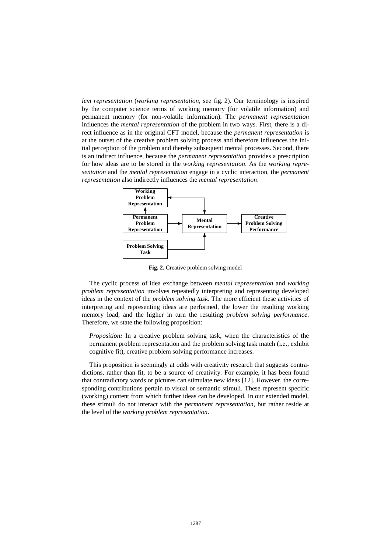*lem representation* (*working representation*, see fig. 2). Our terminology is inspired by the computer science terms of working memory (for volatile information) and permanent memory (for non-volatile information). The *permanent representation* influences the *mental representation* of the problem in two ways. First, there is a direct influence as in the original CFT model, because the *permanent representation* is at the outset of the creative problem solving process and therefore influences the initial perception of the problem and thereby subsequent mental processes. Second, there is an indirect influence, because the *permanent representation* provides a prescription for how ideas are to be stored in the *working representation*. As the *working representation* and the *mental representation* engage in a cyclic interaction, the *permanent representation* also indirectly influences the *mental representation*.



**Fig. 2.** Creative problem solving model

The cyclic process of idea exchange between *mental representation* and *working problem representation* involves repeatedly interpreting and representing developed ideas in the context of the *problem solving task*. The more efficient these activities of interpreting and representing ideas are performed, the lower the resulting working memory load, and the higher in turn the resulting *problem solving performance*. Therefore, we state the following proposition:

*Proposition*: In a creative problem solving task, when the characteristics of the permanent problem representation and the problem solving task match (i.e., exhibit cognitive fit), creative problem solving performance increases.

This proposition is seemingly at odds with creativity research that suggests contradictions, rather than fit, to be a source of creativity. For example, it has been found that contradictory words or pictures can stimulate new ideas [12]. However, the corresponding contributions pertain to visual or semantic stimuli. These represent specific (working) content from which further ideas can be developed. In our extended model, these stimuli do not interact with the *permanent representation*, but rather reside at the level of the *working problem representation*.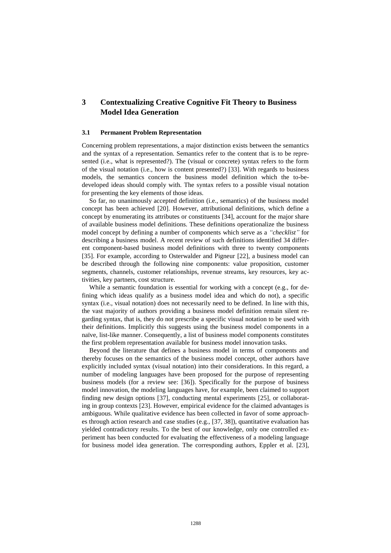# **3 Contextualizing Creative Cognitive Fit Theory to Business Model Idea Generation**

#### **3.1 Permanent Problem Representation**

Concerning problem representations, a major distinction exists between the semantics and the syntax of a representation. Semantics refer to the content that is to be represented (i.e., what is represented?). The (visual or concrete) syntax refers to the form of the visual notation (i.e., how is content presented?) [33]. With regards to business models, the semantics concern the business model definition which the to-bedeveloped ideas should comply with. The syntax refers to a possible visual notation for presenting the key elements of those ideas.

So far, no unanimously accepted definition (i.e., semantics) of the business model concept has been achieved [20]. However, attributional definitions, which define a concept by enumerating its attributes or constituents [34], account for the major share of available business model definitions. These definitions operationalize the business model concept by defining a number of components which serve as a *"checklist"* for describing a business model. A recent review of such definitions identified 34 different component-based business model definitions with three to twenty components [35]. For example, according to Osterwalder and Pigneur [22], a business model can be described through the following nine components: value proposition, customer segments, channels, customer relationships, revenue streams, key resources, key activities, key partners, cost structure.

While a semantic foundation is essential for working with a concept (e.g., for defining which ideas qualify as a business model idea and which do not), a specific syntax (i.e., visual notation) does not necessarily need to be defined. In line with this, the vast majority of authors providing a business model definition remain silent regarding syntax, that is, they do not prescribe a specific visual notation to be used with their definitions. Implicitly this suggests using the business model components in a naïve, list-like manner. Consequently, a list of business model components constitutes the first problem representation available for business model innovation tasks.

Beyond the literature that defines a business model in terms of components and thereby focuses on the semantics of the business model concept, other authors have explicitly included syntax (visual notation) into their considerations. In this regard, a number of modeling languages have been proposed for the purpose of representing business models (for a review see: [36]). Specifically for the purpose of business model innovation, the modeling languages have, for example, been claimed to support finding new design options [37], conducting mental experiments [25], or collaborating in group contexts [23]. However, empirical evidence for the claimed advantages is ambiguous. While qualitative evidence has been collected in favor of some approaches through action research and case studies (e.g., [37, 38]), quantitative evaluation has yielded contradictory results. To the best of our knowledge, only one controlled experiment has been conducted for evaluating the effectiveness of a modeling language for business model idea generation. The corresponding authors, Eppler et al. [23],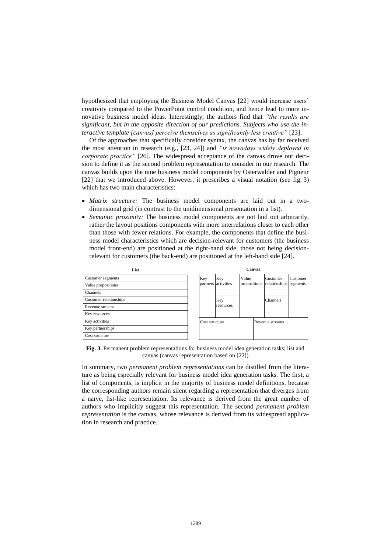hypothesized that employing the Business Model Canvas [22] would increase users' creativity compared to the PowerPoint control condition, and hence lead to more innovative business model ideas. Interestingly, the authors find that *"the results are significant, but in the opposite direction of our predictions. Subjects who use the interactive template [canvas] perceive themselves as significantly less creative"* [23].

Of the approaches that specifically consider syntax, the canvas has by far received the most attention in research (e.g., [23, 24]) and *"is nowadays widely deployed in corporate practice"* [26]. The widespread acceptance of the canvas drove our decision to define it as the second problem representation to consider in our research. The canvas builds upon the nine business model components by Osterwalder and Pigneur [22] that we introduced above. However, it prescribes a visual notation (see fig. 3) which has two main characteristics:

- *Matrix structure:* The business model components are laid out in a twodimensional grid (in contrast to the unidimensional presentation in a list).
- *Semantic proximity:* The business model components are not laid out arbitrarily, rather the layout positions components with more interrelations closer to each other than those with fewer relations. For example, the components that define the business model characteristics which are decision-relevant for customers (the business model front-end) are positioned at the right-hand side, those not being decisionrelevant for customers (the back-end) are positioned at the left-hand side [24].



**Fig. 3.** Permanent problem representations for business model idea generation tasks: list and canvas (canvas representation based on [22])

In summary, two *permanent problem representations* can be distilled from the literature as being especially relevant for business model idea generation tasks. The first, a list of components, is implicit in the majority of business model definitions, because the corresponding authors remain silent regarding a representation that diverges from a naïve, list-like representation. Its relevance is derived from the great number of authors who implicitly suggest this representation. The second *permanent problem representation* is the canvas, whose relevance is derived from its widespread application in research and practice.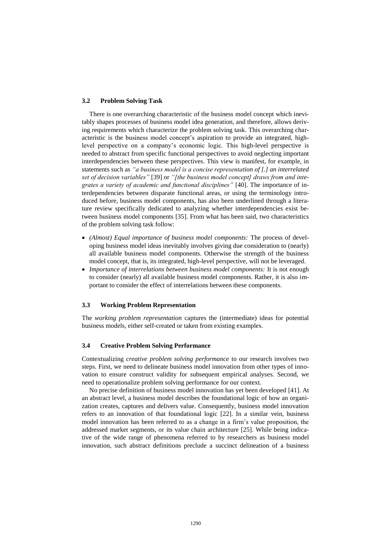#### **3.2 Problem Solving Task**

There is one overarching characteristic of the business model concept which inevitably shapes processes of business model idea generation, and therefore, allows deriving requirements which characterize the problem solving task. This overarching characteristic is the business model concept's aspiration to provide an integrated, highlevel perspective on a company's economic logic. This high-level perspective is needed to abstract from specific functional perspectives to avoid neglecting important interdependencies between these perspectives. This view is manifest, for example, in statements such as *"a business model is a concise representation of [.] an interrelated set of decision variables"* [39] or *"[the business model concept] draws from and integrates a variety of academic and functional disciplines"* [40]. The importance of interdependencies between disparate functional areas, or using the terminology introduced before, business model components, has also been underlined through a literature review specifically dedicated to analyzing whether interdependencies exist between business model components [35]. From what has been said, two characteristics of the problem solving task follow:

- *(Almost) Equal importance of business model components:* The process of developing business model ideas inevitably involves giving due consideration to (nearly) all available business model components. Otherwise the strength of the business model concept, that is, its integrated, high-level perspective, will not be leveraged.
- *Importance of interrelations between business model components:* It is not enough to consider (nearly) all available business model components. Rather, it is also important to consider the effect of interrelations between these components.

#### **3.3 Working Problem Representation**

The *working problem representation* captures the (intermediate) ideas for potential business models, either self-created or taken from existing examples.

#### **3.4 Creative Problem Solving Performance**

Contextualizing *creative problem solving performance* to our research involves two steps. First, we need to delineate business model innovation from other types of innovation to ensure construct validity for subsequent empirical analyses. Second, we need to operationalize problem solving performance for our context.

No precise definition of business model innovation has yet been developed [41]. At an abstract level, a business model describes the foundational logic of how an organization creates, captures and delivers value. Consequently, business model innovation refers to an innovation of that foundational logic [22]. In a similar vein, business model innovation has been referred to as a change in a firm's value proposition, the addressed market segments, or its value chain architecture [25]. While being indicative of the wide range of phenomena referred to by researchers as business model innovation, such abstract definitions preclude a succinct delineation of a business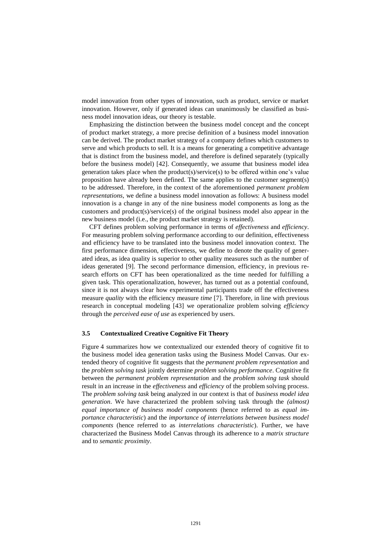model innovation from other types of innovation, such as product, service or market innovation. However, only if generated ideas can unanimously be classified as business model innovation ideas, our theory is testable.

Emphasizing the distinction between the business model concept and the concept of product market strategy, a more precise definition of a business model innovation can be derived. The product market strategy of a company defines which customers to serve and which products to sell. It is a means for generating a competitive advantage that is distinct from the business model, and therefore is defined separately (typically before the business model) [42]. Consequently, we assume that business model idea generation takes place when the product(s)/service(s) to be offered within one's value proposition have already been defined. The same applies to the customer segment(s) to be addressed. Therefore, in the context of the aforementioned *permanent problem representations*, we define a business model innovation as follows: A business model innovation is a change in any of the nine business model components as long as the customers and product(s)/service(s) of the original business model also appear in the new business model (i.e., the product market strategy is retained).

CFT defines problem solving performance in terms of *effectiveness* and *efficiency*. For measuring problem solving performance according to our definition, effectiveness and efficiency have to be translated into the business model innovation context. The first performance dimension, effectiveness, we define to denote the quality of generated ideas, as idea quality is superior to other quality measures such as the number of ideas generated [9]. The second performance dimension, efficiency, in previous research efforts on CFT has been operationalized as the time needed for fulfilling a given task. This operationalization, however, has turned out as a potential confound, since it is not always clear how experimental participants trade off the effectiveness measure *quality* with the efficiency measure *time* [7]. Therefore, in line with previous research in conceptual modeling [43] we operationalize problem solving *efficiency* through the *perceived ease of use* as experienced by users.

#### **3.5 Contextualized Creative Cognitive Fit Theory**

Figure 4 summarizes how we contextualized our extended theory of cognitive fit to the business model idea generation tasks using the Business Model Canvas. Our extended theory of cognitive fit suggests that the *permanent problem representation* and the *problem solving task* jointly determine *problem solving performance*. Cognitive fit between the *permanent problem representation* and the *problem solving task* should result in an increase in the *effectiveness* and *efficiency* of the problem solving process. The *problem solving task* being analyzed in our context is that of *business model idea generation*. We have characterized the problem solving task through the *(almost) equal importance of business model components* (hence referred to as *equal importance characteristic*) and the *importance of interrelations between business model components* (hence referred to as *interrelations characteristic*). Further, we have characterized the Business Model Canvas through its adherence to a *matrix structure* and to *semantic proximity*.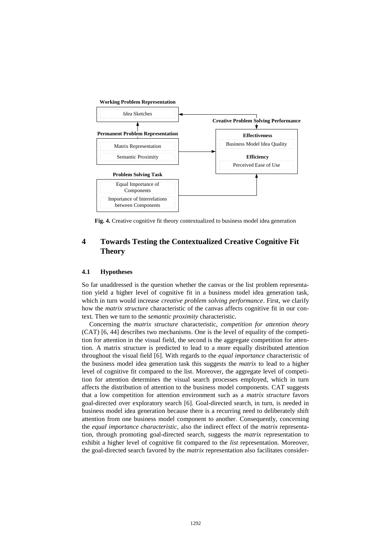

**Fig. 4.** Creative cognitive fit theory contextualized to business model idea generation

# **4 Towards Testing the Contextualized Creative Cognitive Fit Theory**

#### **4.1 Hypotheses**

So far unaddressed is the question whether the canvas or the list problem representation yield a higher level of cognitive fit in a business model idea generation task, which in turn would increase *creative problem solving performance*. First, we clarify how the *matrix structure* characteristic of the canvas affects cognitive fit in our context. Then we turn to the *semantic proximity* characteristic.

Concerning the *matrix structure* characteristic, *competition for attention theory* (CAT) [6, 44] describes two mechanisms. One is the level of equality of the competition for attention in the visual field, the second is the aggregate competition for attention. A matrix structure is predicted to lead to a more equally distributed attention throughout the visual field [6]. With regards to the *equal importance* characteristic of the business model idea generation task this suggests the *matrix* to lead to a higher level of cognitive fit compared to the list. Moreover, the aggregate level of competition for attention determines the visual search processes employed, which in turn affects the distribution of attention to the business model components. CAT suggests that a low competition for attention environment such as a *matrix structure* favors goal-directed over exploratory search [6]. Goal-directed search, in turn, is needed in business model idea generation because there is a recurring need to deliberately shift attention from one business model component to another. Consequently, concerning the *equal importance characteristic*, also the indirect effect of the *matrix* representation, through promoting goal-directed search, suggests the *matrix* representation to exhibit a higher level of cognitive fit compared to the *list* representation. Moreover, the goal-directed search favored by the *matrix* representation also facilitates consider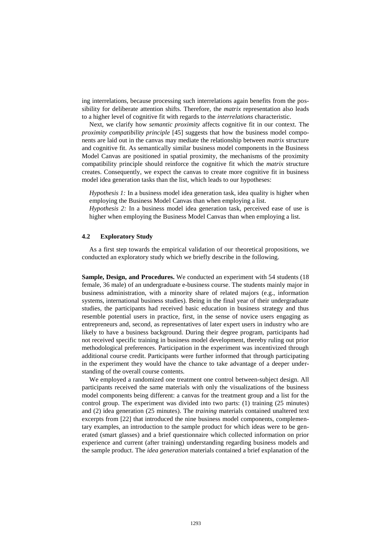ing interrelations, because processing such interrelations again benefits from the possibility for deliberate attention shifts. Therefore, the *matrix* representation also leads to a higher level of cognitive fit with regards to the *interrelations* characteristic.

Next, we clarify how *semantic proximity* affects cognitive fit in our context. The *proximity compatibility principle* [45] suggests that how the business model components are laid out in the canvas may mediate the relationship between *matrix* structure and cognitive fit. As semantically similar business model components in the Business Model Canvas are positioned in spatial proximity, the mechanisms of the proximity compatibility principle should reinforce the cognitive fit which the *matrix* structure creates. Consequently, we expect the canvas to create more cognitive fit in business model idea generation tasks than the list, which leads to our hypotheses:

*Hypothesis 1:* In a business model idea generation task, idea quality is higher when employing the Business Model Canvas than when employing a list.

*Hypothesis 2:* In a business model idea generation task, perceived ease of use is higher when employing the Business Model Canvas than when employing a list.

#### **4.2 Exploratory Study**

As a first step towards the empirical validation of our theoretical propositions, we conducted an exploratory study which we briefly describe in the following.

**Sample, Design, and Procedures.** We conducted an experiment with 54 students (18 female, 36 male) of an undergraduate e-business course. The students mainly major in business administration, with a minority share of related majors (e.g., information systems, international business studies). Being in the final year of their undergraduate studies, the participants had received basic education in business strategy and thus resemble potential users in practice, first, in the sense of novice users engaging as entrepreneurs and, second, as representatives of later expert users in industry who are likely to have a business background. During their degree program, participants had not received specific training in business model development, thereby ruling out prior methodological preferences. Participation in the experiment was incentivized through additional course credit. Participants were further informed that through participating in the experiment they would have the chance to take advantage of a deeper understanding of the overall course contents.

We employed a randomized one treatment one control between-subject design. All participants received the same materials with only the visualizations of the business model components being different: a canvas for the treatment group and a list for the control group. The experiment was divided into two parts: (1) training (25 minutes) and (2) idea generation (25 minutes). The *training* materials contained unaltered text excerpts from [22] that introduced the nine business model components, complementary examples, an introduction to the sample product for which ideas were to be generated (smart glasses) and a brief questionnaire which collected information on prior experience and current (after training) understanding regarding business models and the sample product. The *idea generation* materials contained a brief explanation of the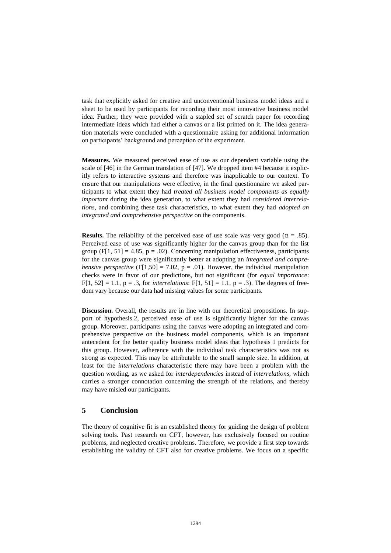task that explicitly asked for creative and unconventional business model ideas and a sheet to be used by participants for recording their most innovative business model idea. Further, they were provided with a stapled set of scratch paper for recording intermediate ideas which had either a canvas or a list printed on it. The idea generation materials were concluded with a questionnaire asking for additional information on participants' background and perception of the experiment.

**Measures.** We measured perceived ease of use as our dependent variable using the scale of [46] in the German translation of [47]. We dropped item #4 because it explicitly refers to interactive systems and therefore was inapplicable to our context. To ensure that our manipulations were effective, in the final questionnaire we asked participants to what extent they had *treated all business model components as equally important* during the idea generation, to what extent they had *considered interrelations*, and combining these task characteristics, to what extent they had *adopted an integrated and comprehensive perspective* on the components.

**Results.** The reliability of the perceived ease of use scale was very good ( $\alpha = .85$ ). Perceived ease of use was significantly higher for the canvas group than for the list group  $(F[1, 51] = 4.85, p = .02)$ . Concerning manipulation effectiveness, participants for the canvas group were significantly better at adopting an *integrated and comprehensive perspective* (F[1,50] = 7.02,  $p = .01$ ). However, the individual manipulation checks were in favor of our predictions, but not significant (for *equal importance*: F[1, 52] = 1.1,  $p = .3$ , for *interrelations*: F[1, 51] = 1.1,  $p = .3$ ). The degrees of freedom vary because our data had missing values for some participants.

**Discussion.** Overall, the results are in line with our theoretical propositions. In support of hypothesis 2, perceived ease of use is significantly higher for the canvas group. Moreover, participants using the canvas were adopting an integrated and comprehensive perspective on the business model components, which is an important antecedent for the better quality business model ideas that hypothesis 1 predicts for this group. However, adherence with the individual task characteristics was not as strong as expected. This may be attributable to the small sample size. In addition, at least for the *interrelations* characteristic there may have been a problem with the question wording, as we asked for *interdependencies* instead of *interrelations*, which carries a stronger connotation concerning the strength of the relations, and thereby may have misled our participants.

# **5 Conclusion**

The theory of cognitive fit is an established theory for guiding the design of problem solving tools. Past research on CFT, however, has exclusively focused on routine problems, and neglected creative problems. Therefore, we provide a first step towards establishing the validity of CFT also for creative problems. We focus on a specific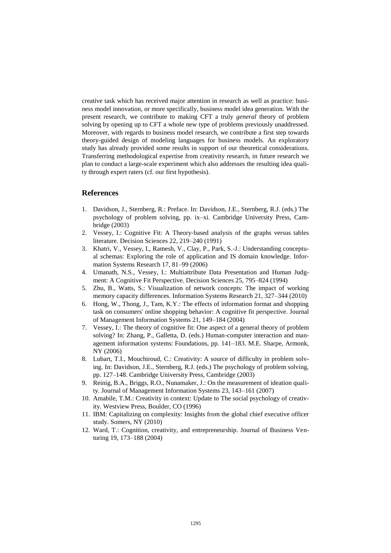creative task which has received major attention in research as well as practice: business model innovation, or more specifically, business model idea generation. With the present research, we contribute to making CFT a truly *general* theory of problem solving by opening up to CFT a whole new type of problems previously unaddressed. Moreover, with regards to business model research, we contribute a first step towards theory-guided design of modeling languages for business models. An exploratory study has already provided some results in support of our theoretical considerations. Transferring methodological expertise from creativity research, in future research we plan to conduct a large-scale experiment which also addresses the resulting idea quality through expert raters (cf. our first hypothesis).

#### **References**

- 1. Davidson, J., Sternberg, R.: Preface. In: Davidson, J.E., Sternberg, R.J. (eds.) The psychology of problem solving, pp. ix–xi. Cambridge University Press, Cambridge (2003)
- 2. Vessey, I.: Cognitive Fit: A Theory‐based analysis of the graphs versus tables literature. Decision Sciences 22, 219–240 (1991)
- 3. Khatri, V., Vessey, I., Ramesh, V., Clay, P., Park, S.-J.: Understanding conceptual schemas: Exploring the role of application and IS domain knowledge. Information Systems Research 17, 81–99 (2006)
- 4. Umanath, N.S., Vessey, I.: Multiattribute Data Presentation and Human Judgment: A Cognitive Fit Perspective. Decision Sciences 25, 795–824 (1994)
- 5. Zhu, B., Watts, S.: Visualization of network concepts: The impact of working memory capacity differences. Information Systems Research 21, 327–344 (2010)
- 6. Hong, W., Thong, J., Tam, K.Y.: The effects of information format and shopping task on consumers' online shopping behavior: A cognitive fit perspective. Journal of Management Information Systems 21, 149–184 (2004)
- 7. Vessey, I.: The theory of cognitive fit: One aspect of a general theory of problem solving? In: Zhang, P., Galletta, D. (eds.) Human-computer interaction and management information systems: Foundations, pp. 141–183. M.E. Sharpe, Armonk, NY (2006)
- 8. Lubart, T.I., Mouchiroud, C.: Creativity: A source of difficulty in problem solving. In: Davidson, J.E., Sternberg, R.J. (eds.) The psychology of problem solving, pp. 127–148. Cambridge University Press, Cambridge (2003)
- 9. Reinig, B.A., Briggs, R.O., Nunamaker, J.: On the measurement of ideation quality. Journal of Management Information Systems 23, 143–161 (2007)
- 10. Amabile, T.M.: Creativity in context: Update to The social psychology of creativity. Westview Press, Boulder, CO (1996)
- 11. IBM: Capitalizing on complexity: Insights from the global chief executive officer study. Somers, NY (2010)
- 12. Ward, T.: Cognition, creativity, and entrepreneurship. Journal of Business Venturing 19, 173–188 (2004)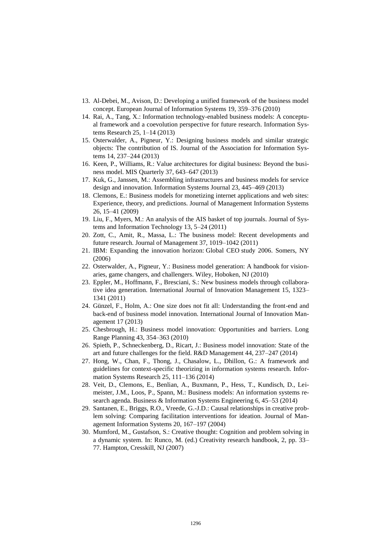- 13. Al-Debei, M., Avison, D.: Developing a unified framework of the business model concept. European Journal of Information Systems 19, 359–376 (2010)
- 14. Rai, A., Tang, X.: Information technology-enabled business models: A conceptual framework and a coevolution perspective for future research. Information Systems Research 25, 1–14 (2013)
- 15. Osterwalder, A., Pigneur, Y.: Designing business models and similar strategic objects: The contribution of IS. Journal of the Association for Information Systems 14, 237–244 (2013)
- 16. Keen, P., Williams, R.: Value architectures for digital business: Beyond the business model. MIS Quarterly 37, 643–647 (2013)
- 17. Kuk, G., Janssen, M.: Assembling infrastructures and business models for service design and innovation. Information Systems Journal 23, 445–469 (2013)
- 18. Clemons, E.: Business models for monetizing internet applications and web sites: Experience, theory, and predictions. Journal of Management Information Systems 26, 15–41 (2009)
- 19. Liu, F., Myers, M.: An analysis of the AIS basket of top journals. Journal of Systems and Information Technology 13, 5–24 (2011)
- 20. Zott, C., Amit, R., Massa, L.: The business model: Recent developments and future research. Journal of Management 37, 1019–1042 (2011)
- 21. IBM: Expanding the innovation horizon: Global CEO study 2006. Somers, NY (2006)
- 22. Osterwalder, A., Pigneur, Y.: Business model generation: A handbook for visionaries, game changers, and challengers. Wiley, Hoboken, NJ (2010)
- 23. Eppler, M., Hoffmann, F., Bresciani, S.: New business models through collaborative idea generation. International Journal of Innovation Management 15, 1323– 1341 (2011)
- 24. Günzel, F., Holm, A.: One size does not fit all: Understanding the front-end and back-end of business model innovation. International Journal of Innovation Management 17 (2013)
- 25. Chesbrough, H.: Business model innovation: Opportunities and barriers. Long Range Planning 43, 354–363 (2010)
- 26. Spieth, P., Schneckenberg, D., Ricart, J.: Business model innovation: State of the art and future challenges for the field. R&D Management 44, 237–247 (2014)
- 27. Hong, W., Chan, F., Thong, J., Chasalow, L., Dhillon, G.: A framework and guidelines for context-specific theorizing in information systems research. Information Systems Research 25, 111–136 (2014)
- 28. Veit, D., Clemons, E., Benlian, A., Buxmann, P., Hess, T., Kundisch, D., Leimeister, J.M., Loos, P., Spann, M.: Business models: An information systems research agenda. Business & Information Systems Engineering 6, 45–53 (2014)
- 29. Santanen, E., Briggs, R.O., Vreede, G.-J.D.: Causal relationships in creative problem solving: Comparing facilitation interventions for ideation. Journal of Management Information Systems 20, 167–197 (2004)
- 30. Mumford, M., Gustafson, S.: Creative thought: Cognition and problem solving in a dynamic system. In: Runco, M. (ed.) Creativity research handbook, 2, pp. 33– 77. Hampton, Cresskill, NJ (2007)